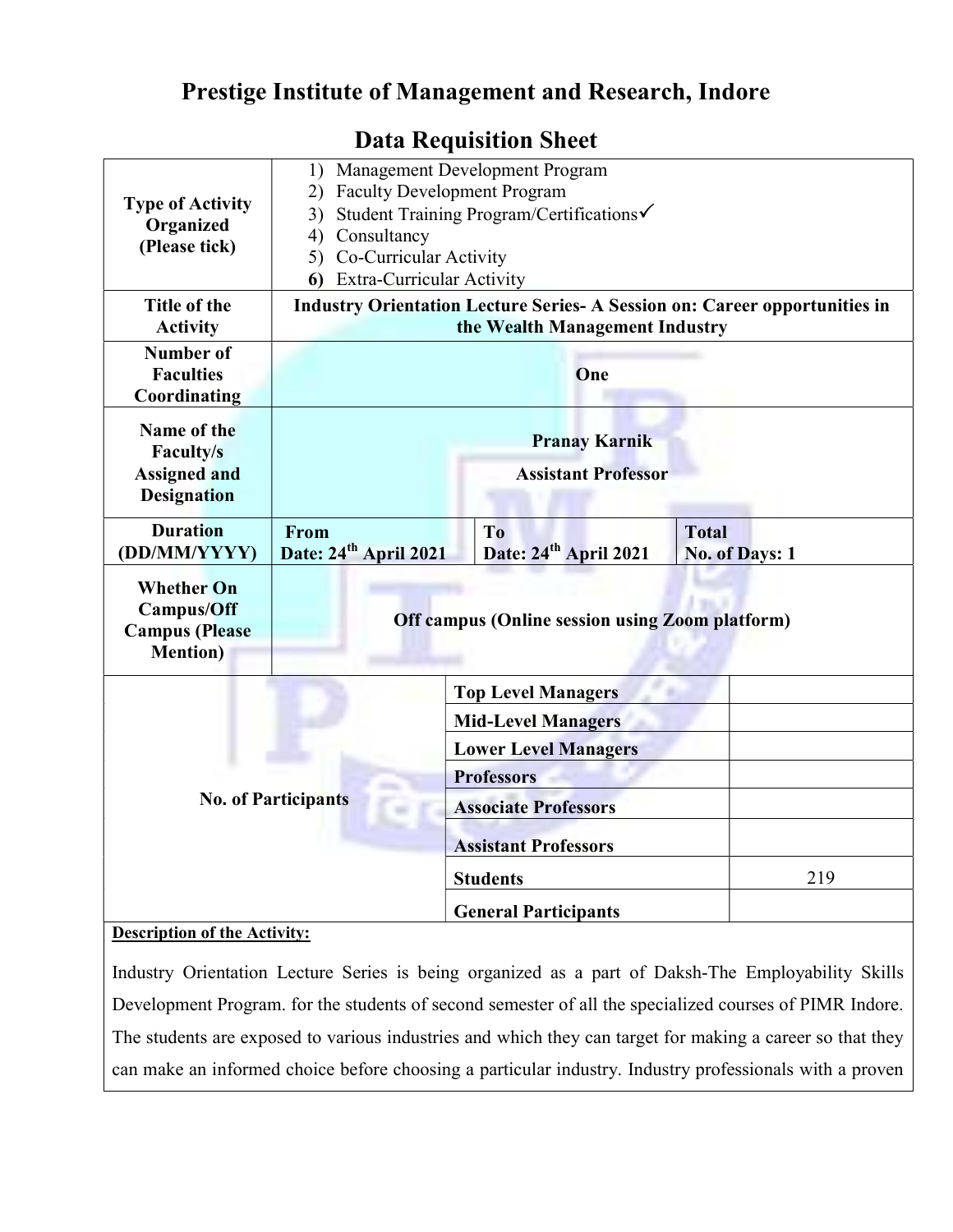## Prestige Institute of Management and Research, Indore

## Type of Activity **Organized** (Please tick) 1) Management Development Program 2) Faculty Development Program 3) Student Training Program/Certifications 4) Consultancy 5) Co-Curricular Activity 6) Extra-Curricular Activity Title of the Activity Industry Orientation Lecture Series- A Session on: Career opportunities in the Wealth Management Industry Number of **Faculties** Coordinating **One** Name of the Faculty/s Assigned and **Designation** Pranay Karnik Assistant Professor **Duration** (DD/MM/YYYY) From Date: 24<sup>th</sup> April 2021 To Date: 24<sup>th</sup> April 2021 Total No. of Days: 1 Whether On Campus/Off Campus (Please Mention) Off campus (Online session using Zoom platform) No. of Participants Top Level Managers Mid-Level Managers Lower Level Managers **Professors** Associate Professors Assistant Professors Students 219 General Participants

## Data Requisition Sheet

## Description of the Activity:

Industry Orientation Lecture Series is being organized as a part of Daksh-The Employability Skills Development Program. for the students of second semester of all the specialized courses of PIMR Indore. The students are exposed to various industries and which they can target for making a career so that they can make an informed choice before choosing a particular industry. Industry professionals with a proven